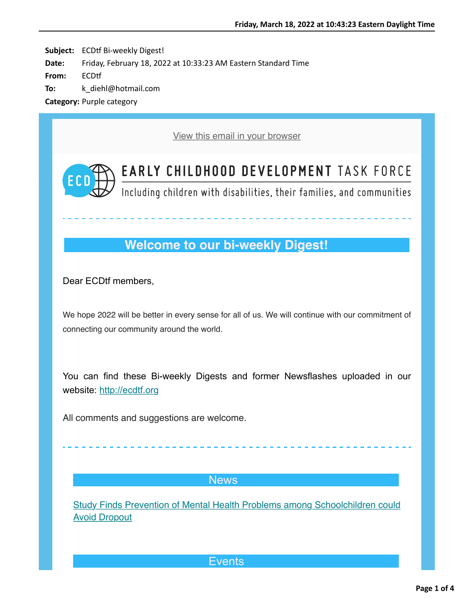Subject: ECDtf Bi-weekly Digest! **Date:** Friday, February 18, 2022 at 10:33:23 AM Eastern Standard Time **From:** ECDtf **To:** k\_diehl@hotmail.com

**Category:** Purple category

[View this email in your browser](https://na01.safelinks.protection.outlook.com/?url=https%3A%2F%2Fmailchi.mp%2F5e414cb3ccd6%2Fecdtf-newsletter-15920502%3Fe%3D59e8206939&data=04%7C01%7C%7C91fc028dd0394825c53008d9f2f3fe13%7C84df9e7fe9f640afb435aaaaaaaaaaaa%7C1%7C0%7C637807952037816788%7CUnknown%7CTWFpbGZsb3d8eyJWIjoiMC4wLjAwMDAiLCJQIjoiV2luMzIiLCJBTiI6Ik1haWwiLCJXVCI6Mn0%3D%7C3000&sdata=JFDFSRlexKHLVeJnSXxDJttvR4XfCeGTy%2BdCudOOGxU%3D&reserved=0)



**EARLY CHILDHOOD DEVELOPMENT TASK FORCE** 

Including children with disabilities, their families, and communities

# **Welcome to our bi-weekly Digest!**

Dear ECDtf members,

We hope 2022 will be better in every sense for all of us. We will continue with our commitment of connecting our community around the world.

You can find these Bi-weekly Digests and former Newsflashes uploaded in our website: [http://ecdtf.org](https://na01.safelinks.protection.outlook.com/?url=https%3A%2F%2Fhotmail.us20.list-manage.com%2Ftrack%2Fclick%3Fu%3Dfdbb07179dc5a2d4ccfab37d9%26id%3De0933603b9%26e%3D59e8206939&data=04%7C01%7C%7C91fc028dd0394825c53008d9f2f3fe13%7C84df9e7fe9f640afb435aaaaaaaaaaaa%7C1%7C0%7C637807952037816788%7CUnknown%7CTWFpbGZsb3d8eyJWIjoiMC4wLjAwMDAiLCJQIjoiV2luMzIiLCJBTiI6Ik1haWwiLCJXVCI6Mn0%3D%7C3000&sdata=UKrTl3fe0u%2BWDqa2TTQqxp3QbMetkNUCOw8e2iwnAYM%3D&reserved=0)

All comments and suggestions are welcome.

### **News**

[Study Finds Prevention of Mental Health Problems among Schoolchildren could](https://na01.safelinks.protection.outlook.com/?url=https%3A%2F%2Fhotmail.us20.list-manage.com%2Ftrack%2Fclick%3Fu%3Dfdbb07179dc5a2d4ccfab37d9%26id%3De86c262942%26e%3D59e8206939&data=04%7C01%7C%7C91fc028dd0394825c53008d9f2f3fe13%7C84df9e7fe9f640afb435aaaaaaaaaaaa%7C1%7C0%7C637807952037816788%7CUnknown%7CTWFpbGZsb3d8eyJWIjoiMC4wLjAwMDAiLCJQIjoiV2luMzIiLCJBTiI6Ik1haWwiLCJXVCI6Mn0%3D%7C3000&sdata=25xIwzxRvE%2BA3RjD95X2R%2B99A5pTJKIQCmd2sRiQZwo%3D&reserved=0) **Avoid Dropout** 

**Events**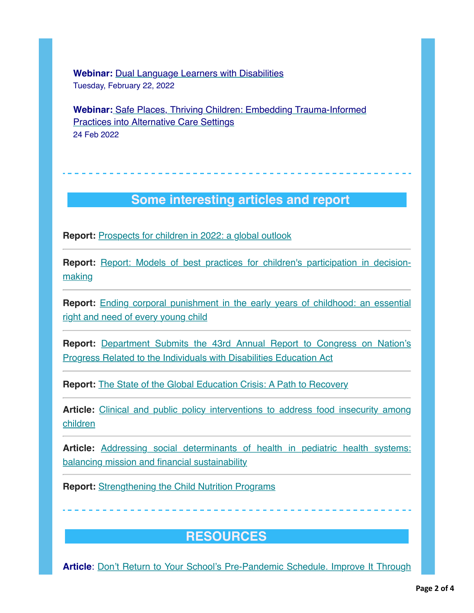**Webinar:** [Dual Language Learners with Disabilities](https://na01.safelinks.protection.outlook.com/?url=https%3A%2F%2Fhotmail.us20.list-manage.com%2Ftrack%2Fclick%3Fu%3Dfdbb07179dc5a2d4ccfab37d9%26id%3D6954a0b4d3%26e%3D59e8206939&data=04%7C01%7C%7C91fc028dd0394825c53008d9f2f3fe13%7C84df9e7fe9f640afb435aaaaaaaaaaaa%7C1%7C0%7C637807952037816788%7CUnknown%7CTWFpbGZsb3d8eyJWIjoiMC4wLjAwMDAiLCJQIjoiV2luMzIiLCJBTiI6Ik1haWwiLCJXVCI6Mn0%3D%7C3000&sdata=s0kzV%2Bc8AOc9Y%2FhiTZQOcJI3sSFv7TF19Zg6U4%2BDw6Q%3D&reserved=0) Tuesday, February 22, 2022

**Webinar[:](https://na01.safelinks.protection.outlook.com/?url=https%3A%2F%2Fhotmail.us20.list-manage.com%2Ftrack%2Fclick%3Fu%3Dfdbb07179dc5a2d4ccfab37d9%26id%3Dbd7e80375b%26e%3D59e8206939&data=04%7C01%7C%7C91fc028dd0394825c53008d9f2f3fe13%7C84df9e7fe9f640afb435aaaaaaaaaaaa%7C1%7C0%7C637807952037816788%7CUnknown%7CTWFpbGZsb3d8eyJWIjoiMC4wLjAwMDAiLCJQIjoiV2luMzIiLCJBTiI6Ik1haWwiLCJXVCI6Mn0%3D%7C3000&sdata=TbyIFEo7qSPXNRrYGodJu0J%2FFnBhNCfSYaXWuezvwOc%3D&reserved=0)** [Safe Places, Thriving Children: Embedding Trauma-Informed](https://na01.safelinks.protection.outlook.com/?url=https%3A%2F%2Fhotmail.us20.list-manage.com%2Ftrack%2Fclick%3Fu%3Dfdbb07179dc5a2d4ccfab37d9%26id%3D4a6ec7048f%26e%3D59e8206939&data=04%7C01%7C%7C91fc028dd0394825c53008d9f2f3fe13%7C84df9e7fe9f640afb435aaaaaaaaaaaa%7C1%7C0%7C637807952037816788%7CUnknown%7CTWFpbGZsb3d8eyJWIjoiMC4wLjAwMDAiLCJQIjoiV2luMzIiLCJBTiI6Ik1haWwiLCJXVCI6Mn0%3D%7C3000&sdata=vpGRZhjprXQ6nWvfBYk%2BAdszQW%2BGw2NPesPyyfPG%2Bhc%3D&reserved=0) Practices into Alternative Care Settings 24 Feb 2022

### **Some interesting articles and report**

**Report:** [Prospects for children in 2022: a global outlook](https://na01.safelinks.protection.outlook.com/?url=https%3A%2F%2Fhotmail.us20.list-manage.com%2Ftrack%2Fclick%3Fu%3Dfdbb07179dc5a2d4ccfab37d9%26id%3D06caf5e716%26e%3D59e8206939&data=04%7C01%7C%7C91fc028dd0394825c53008d9f2f3fe13%7C84df9e7fe9f640afb435aaaaaaaaaaaa%7C1%7C0%7C637807952037816788%7CUnknown%7CTWFpbGZsb3d8eyJWIjoiMC4wLjAwMDAiLCJQIjoiV2luMzIiLCJBTiI6Ik1haWwiLCJXVCI6Mn0%3D%7C3000&sdata=XvxPzWDHpDIwZnHE%2BLV%2FsYHLgXhAKStYGLWicl4p%2FIk%3D&reserved=0)

**Report:** [Report: Models of best practices for children's participation in decision](https://na01.safelinks.protection.outlook.com/?url=https%3A%2F%2Fhotmail.us20.list-manage.com%2Ftrack%2Fclick%3Fu%3Dfdbb07179dc5a2d4ccfab37d9%26id%3Dd572d9e0f9%26e%3D59e8206939&data=04%7C01%7C%7C91fc028dd0394825c53008d9f2f3fe13%7C84df9e7fe9f640afb435aaaaaaaaaaaa%7C1%7C0%7C637807952037816788%7CUnknown%7CTWFpbGZsb3d8eyJWIjoiMC4wLjAwMDAiLCJQIjoiV2luMzIiLCJBTiI6Ik1haWwiLCJXVCI6Mn0%3D%7C3000&sdata=NNfBa41oqoL%2BXMk41XA7Eg7uClsWrSerJSjmHLtoTzw%3D&reserved=0)making

**Report:** [Ending corporal punishment in the early years of childhood: an essential](https://na01.safelinks.protection.outlook.com/?url=https%3A%2F%2Fhotmail.us20.list-manage.com%2Ftrack%2Fclick%3Fu%3Dfdbb07179dc5a2d4ccfab37d9%26id%3Da85053783a%26e%3D59e8206939&data=04%7C01%7C%7C91fc028dd0394825c53008d9f2f3fe13%7C84df9e7fe9f640afb435aaaaaaaaaaaa%7C1%7C0%7C637807952037816788%7CUnknown%7CTWFpbGZsb3d8eyJWIjoiMC4wLjAwMDAiLCJQIjoiV2luMzIiLCJBTiI6Ik1haWwiLCJXVCI6Mn0%3D%7C3000&sdata=GaqkP6DvNVz0A%2BTHkbo4ViulII9rGjahXFVhh86AS%2FM%3D&reserved=0) right and need of every young child

**Report:** [Department Submits the 43rd Annual Report to Congress on Nation's](https://na01.safelinks.protection.outlook.com/?url=https%3A%2F%2Fhotmail.us20.list-manage.com%2Ftrack%2Fclick%3Fu%3Dfdbb07179dc5a2d4ccfab37d9%26id%3D844694d7e7%26e%3D59e8206939&data=04%7C01%7C%7C91fc028dd0394825c53008d9f2f3fe13%7C84df9e7fe9f640afb435aaaaaaaaaaaa%7C1%7C0%7C637807952037816788%7CUnknown%7CTWFpbGZsb3d8eyJWIjoiMC4wLjAwMDAiLCJQIjoiV2luMzIiLCJBTiI6Ik1haWwiLCJXVCI6Mn0%3D%7C3000&sdata=qSGxBrcHY91RdgCpgUkdcxK%2Bt8Fqii2pqxs%2FuubcZCc%3D&reserved=0) Progress Related to the Individuals with Disabilities Education Act

**Report:** [The State of the Global Education Crisis: A Path to Recovery](https://na01.safelinks.protection.outlook.com/?url=https%3A%2F%2Fhotmail.us20.list-manage.com%2Ftrack%2Fclick%3Fu%3Dfdbb07179dc5a2d4ccfab37d9%26id%3D5c8f60a889%26e%3D59e8206939&data=04%7C01%7C%7C91fc028dd0394825c53008d9f2f3fe13%7C84df9e7fe9f640afb435aaaaaaaaaaaa%7C1%7C0%7C637807952037816788%7CUnknown%7CTWFpbGZsb3d8eyJWIjoiMC4wLjAwMDAiLCJQIjoiV2luMzIiLCJBTiI6Ik1haWwiLCJXVCI6Mn0%3D%7C3000&sdata=CNy5avyRSLoZLXhnMvlYDyz6b9MgMp3vCS2D6biQMKI%3D&reserved=0)

**Article:** [Clinical and public policy interventions to address food insecurity among](https://na01.safelinks.protection.outlook.com/?url=https%3A%2F%2Fhotmail.us20.list-manage.com%2Ftrack%2Fclick%3Fu%3Dfdbb07179dc5a2d4ccfab37d9%26id%3Dbd071132c5%26e%3D59e8206939&data=04%7C01%7C%7C91fc028dd0394825c53008d9f2f3fe13%7C84df9e7fe9f640afb435aaaaaaaaaaaa%7C1%7C0%7C637807952037816788%7CUnknown%7CTWFpbGZsb3d8eyJWIjoiMC4wLjAwMDAiLCJQIjoiV2luMzIiLCJBTiI6Ik1haWwiLCJXVCI6Mn0%3D%7C3000&sdata=ssva0Nn7tIsx%2B4JuDKFOU9I4l2BG7EnU0bZ%2FEQah3GE%3D&reserved=0) children

**Article:** [Addressing social determinants of health in pediatric health systems:](https://na01.safelinks.protection.outlook.com/?url=https%3A%2F%2Fhotmail.us20.list-manage.com%2Ftrack%2Fclick%3Fu%3Dfdbb07179dc5a2d4ccfab37d9%26id%3D6fc04fc0b7%26e%3D59e8206939&data=04%7C01%7C%7C91fc028dd0394825c53008d9f2f3fe13%7C84df9e7fe9f640afb435aaaaaaaaaaaa%7C1%7C0%7C637807952037816788%7CUnknown%7CTWFpbGZsb3d8eyJWIjoiMC4wLjAwMDAiLCJQIjoiV2luMzIiLCJBTiI6Ik1haWwiLCJXVCI6Mn0%3D%7C3000&sdata=Jb7BhKHMhsQiUY0GvyCEN1VD09m5cSUeOWxvCnFSEm0%3D&reserved=0) balancing mission and financial sustainability

**Report:** [Strengthening the Child Nutrition Programs](https://na01.safelinks.protection.outlook.com/?url=https%3A%2F%2Fhotmail.us20.list-manage.com%2Ftrack%2Fclick%3Fu%3Dfdbb07179dc5a2d4ccfab37d9%26id%3D3caba6b5f4%26e%3D59e8206939&data=04%7C01%7C%7C91fc028dd0394825c53008d9f2f3fe13%7C84df9e7fe9f640afb435aaaaaaaaaaaa%7C1%7C0%7C637807952037816788%7CUnknown%7CTWFpbGZsb3d8eyJWIjoiMC4wLjAwMDAiLCJQIjoiV2luMzIiLCJBTiI6Ik1haWwiLCJXVCI6Mn0%3D%7C3000&sdata=VdPxju0MFTyFUsEQ5433SX2dUhtW2gztIWMfWFf0trU%3D&reserved=0)

## **RESOURCES**

**Article**[: Don't Return to Your School's Pre-Pandemic Schedule. Improve It Through](https://na01.safelinks.protection.outlook.com/?url=https%3A%2F%2Fhotmail.us20.list-manage.com%2Ftrack%2Fclick%3Fu%3Dfdbb07179dc5a2d4ccfab37d9%26id%3Dab3508607a%26e%3D59e8206939&data=04%7C01%7C%7C91fc028dd0394825c53008d9f2f3fe13%7C84df9e7fe9f640afb435aaaaaaaaaaaa%7C1%7C0%7C637807952037816788%7CUnknown%7CTWFpbGZsb3d8eyJWIjoiMC4wLjAwMDAiLCJQIjoiV2luMzIiLCJBTiI6Ik1haWwiLCJXVCI6Mn0%3D%7C3000&sdata=qEUVNpzxFxQqRcL9nn7M3TovVCf494Mudl9DeKLjjZ8%3D&reserved=0)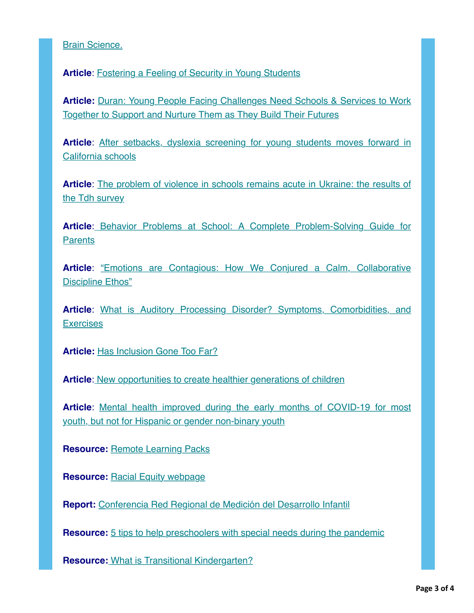### [Brain Science.](https://na01.safelinks.protection.outlook.com/?url=https%3A%2F%2Fhotmail.us20.list-manage.com%2Ftrack%2Fclick%3Fu%3Dfdbb07179dc5a2d4ccfab37d9%26id%3Dab3508607a%26e%3D59e8206939&data=04%7C01%7C%7C91fc028dd0394825c53008d9f2f3fe13%7C84df9e7fe9f640afb435aaaaaaaaaaaa%7C1%7C0%7C637807952037816788%7CUnknown%7CTWFpbGZsb3d8eyJWIjoiMC4wLjAwMDAiLCJQIjoiV2luMzIiLCJBTiI6Ik1haWwiLCJXVCI6Mn0%3D%7C3000&sdata=qEUVNpzxFxQqRcL9nn7M3TovVCf494Mudl9DeKLjjZ8%3D&reserved=0)

**Article**: [Fostering a Feeling of Security in Young Students](https://na01.safelinks.protection.outlook.com/?url=https%3A%2F%2Fhotmail.us20.list-manage.com%2Ftrack%2Fclick%3Fu%3Dfdbb07179dc5a2d4ccfab37d9%26id%3D3c51d17bbd%26e%3D59e8206939&data=04%7C01%7C%7C91fc028dd0394825c53008d9f2f3fe13%7C84df9e7fe9f640afb435aaaaaaaaaaaa%7C1%7C0%7C637807952037816788%7CUnknown%7CTWFpbGZsb3d8eyJWIjoiMC4wLjAwMDAiLCJQIjoiV2luMzIiLCJBTiI6Ik1haWwiLCJXVCI6Mn0%3D%7C3000&sdata=Tulm7kl3aqJ0H8OPxXGoFtL%2FHV1wRo%2Fazhc2SnRFT2Y%3D&reserved=0)

**Article: [Duran: Young People Facing Challenges Need Schools & Services to Work](https://na01.safelinks.protection.outlook.com/?url=https%3A%2F%2Fhotmail.us20.list-manage.com%2Ftrack%2Fclick%3Fu%3Dfdbb07179dc5a2d4ccfab37d9%26id%3D92bb119a03%26e%3D59e8206939&data=04%7C01%7C%7C91fc028dd0394825c53008d9f2f3fe13%7C84df9e7fe9f640afb435aaaaaaaaaaaa%7C1%7C0%7C637807952037816788%7CUnknown%7CTWFpbGZsb3d8eyJWIjoiMC4wLjAwMDAiLCJQIjoiV2luMzIiLCJBTiI6Ik1haWwiLCJXVCI6Mn0%3D%7C3000&sdata=WhZGAf7o4AxDD9EiU5%2FtK6zOucCuSfMzTKFi7Ap0qGQ%3D&reserved=0)** Together to Support and Nurture Them as They Build Their Futures

**Article**[: After setbacks, dyslexia screening for young students moves forward in](https://na01.safelinks.protection.outlook.com/?url=https%3A%2F%2Fhotmail.us20.list-manage.com%2Ftrack%2Fclick%3Fu%3Dfdbb07179dc5a2d4ccfab37d9%26id%3D5cb303d8d2%26e%3D59e8206939&data=04%7C01%7C%7C91fc028dd0394825c53008d9f2f3fe13%7C84df9e7fe9f640afb435aaaaaaaaaaaa%7C1%7C0%7C637807952037816788%7CUnknown%7CTWFpbGZsb3d8eyJWIjoiMC4wLjAwMDAiLCJQIjoiV2luMzIiLCJBTiI6Ik1haWwiLCJXVCI6Mn0%3D%7C3000&sdata=3kVLnI0I2xK1hHiN1eWMYZYUoeIBBSoxM55QpTFuIec%3D&reserved=0) California schools

**Article**[: The problem of violence in schools remains acute in Ukraine: the results of](https://na01.safelinks.protection.outlook.com/?url=https%3A%2F%2Fhotmail.us20.list-manage.com%2Ftrack%2Fclick%3Fu%3Dfdbb07179dc5a2d4ccfab37d9%26id%3D9a766faa1b%26e%3D59e8206939&data=04%7C01%7C%7C91fc028dd0394825c53008d9f2f3fe13%7C84df9e7fe9f640afb435aaaaaaaaaaaa%7C1%7C0%7C637807952037816788%7CUnknown%7CTWFpbGZsb3d8eyJWIjoiMC4wLjAwMDAiLCJQIjoiV2luMzIiLCJBTiI6Ik1haWwiLCJXVCI6Mn0%3D%7C3000&sdata=MT6euiXA8dHo9OK4JxrcIuANlWfaJdMKBkAjnveZlUE%3D&reserved=0) the Tdh survey

**Article**[:](https://na01.safelinks.protection.outlook.com/?url=https%3A%2F%2Fhotmail.us20.list-manage.com%2Ftrack%2Fclick%3Fu%3Dfdbb07179dc5a2d4ccfab37d9%26id%3D1146f295cf%26e%3D59e8206939&data=04%7C01%7C%7C91fc028dd0394825c53008d9f2f3fe13%7C84df9e7fe9f640afb435aaaaaaaaaaaa%7C1%7C0%7C637807952037816788%7CUnknown%7CTWFpbGZsb3d8eyJWIjoiMC4wLjAwMDAiLCJQIjoiV2luMzIiLCJBTiI6Ik1haWwiLCJXVCI6Mn0%3D%7C3000&sdata=80pDwB4QYtqC4mAQRk%2FXOHNSVYsNCzEHVOvDuFmq7Cg%3D&reserved=0) [Behavior Problems at School: A Complete Problem-Solving Guide for](https://na01.safelinks.protection.outlook.com/?url=https%3A%2F%2Fhotmail.us20.list-manage.com%2Ftrack%2Fclick%3Fu%3Dfdbb07179dc5a2d4ccfab37d9%26id%3Dc98ed11368%26e%3D59e8206939&data=04%7C01%7C%7C91fc028dd0394825c53008d9f2f3fe13%7C84df9e7fe9f640afb435aaaaaaaaaaaa%7C1%7C0%7C637807952037816788%7CUnknown%7CTWFpbGZsb3d8eyJWIjoiMC4wLjAwMDAiLCJQIjoiV2luMzIiLCJBTiI6Ik1haWwiLCJXVCI6Mn0%3D%7C3000&sdata=FOObD9rYc1mv3IjxcKiPFU1k32azJMEH2yxZWNdgnWQ%3D&reserved=0) **Parents** 

Article[: "Emotions are Contagious: How We Conjured a Calm, Collaborative](https://na01.safelinks.protection.outlook.com/?url=https%3A%2F%2Fhotmail.us20.list-manage.com%2Ftrack%2Fclick%3Fu%3Dfdbb07179dc5a2d4ccfab37d9%26id%3D1384208aec%26e%3D59e8206939&data=04%7C01%7C%7C91fc028dd0394825c53008d9f2f3fe13%7C84df9e7fe9f640afb435aaaaaaaaaaaa%7C1%7C0%7C637807952037973006%7CUnknown%7CTWFpbGZsb3d8eyJWIjoiMC4wLjAwMDAiLCJQIjoiV2luMzIiLCJBTiI6Ik1haWwiLCJXVCI6Mn0%3D%7C3000&sdata=IuNS%2BAkPSD0C0PZXER5TGvwOkS%2B0HflhBQASHfqa20Q%3D&reserved=0) Discipline Ethos"

**Article**[: What is Auditory Processing Disorder? Symptoms, Comorbidities, and](https://na01.safelinks.protection.outlook.com/?url=https%3A%2F%2Fhotmail.us20.list-manage.com%2Ftrack%2Fclick%3Fu%3Dfdbb07179dc5a2d4ccfab37d9%26id%3Da3733c4b46%26e%3D59e8206939&data=04%7C01%7C%7C91fc028dd0394825c53008d9f2f3fe13%7C84df9e7fe9f640afb435aaaaaaaaaaaa%7C1%7C0%7C637807952037973006%7CUnknown%7CTWFpbGZsb3d8eyJWIjoiMC4wLjAwMDAiLCJQIjoiV2luMzIiLCJBTiI6Ik1haWwiLCJXVCI6Mn0%3D%7C3000&sdata=ppmvGFeQYGRTfOquZZUu4PR%2FQfgqV6crmZ9pF4Ooh3Q%3D&reserved=0) **Exercises** 

**Article:** [Has Inclusion Gone Too Far?](https://na01.safelinks.protection.outlook.com/?url=https%3A%2F%2Fhotmail.us20.list-manage.com%2Ftrack%2Fclick%3Fu%3Dfdbb07179dc5a2d4ccfab37d9%26id%3D60401b0ddf%26e%3D59e8206939&data=04%7C01%7C%7C91fc028dd0394825c53008d9f2f3fe13%7C84df9e7fe9f640afb435aaaaaaaaaaaa%7C1%7C0%7C637807952037973006%7CUnknown%7CTWFpbGZsb3d8eyJWIjoiMC4wLjAwMDAiLCJQIjoiV2luMzIiLCJBTiI6Ik1haWwiLCJXVCI6Mn0%3D%7C3000&sdata=GqpY7zV3bIRxFY24zipzMRsnG0MkCWuCHlWM6AtdMZQ%3D&reserved=0)

**Article**[:](https://na01.safelinks.protection.outlook.com/?url=https%3A%2F%2Fhotmail.us20.list-manage.com%2Ftrack%2Fclick%3Fu%3Dfdbb07179dc5a2d4ccfab37d9%26id%3D7bf5e3aa7b%26e%3D59e8206939&data=04%7C01%7C%7C91fc028dd0394825c53008d9f2f3fe13%7C84df9e7fe9f640afb435aaaaaaaaaaaa%7C1%7C0%7C637807952037973006%7CUnknown%7CTWFpbGZsb3d8eyJWIjoiMC4wLjAwMDAiLCJQIjoiV2luMzIiLCJBTiI6Ik1haWwiLCJXVCI6Mn0%3D%7C3000&sdata=GjheOmvdGRFAEM4UC12hfWQbEXAznvgYDR1n%2FY0IAWs%3D&reserved=0) [New opportunities to create healthier generations of children](https://na01.safelinks.protection.outlook.com/?url=https%3A%2F%2Fhotmail.us20.list-manage.com%2Ftrack%2Fclick%3Fu%3Dfdbb07179dc5a2d4ccfab37d9%26id%3D83689e71bd%26e%3D59e8206939&data=04%7C01%7C%7C91fc028dd0394825c53008d9f2f3fe13%7C84df9e7fe9f640afb435aaaaaaaaaaaa%7C1%7C0%7C637807952037973006%7CUnknown%7CTWFpbGZsb3d8eyJWIjoiMC4wLjAwMDAiLCJQIjoiV2luMzIiLCJBTiI6Ik1haWwiLCJXVCI6Mn0%3D%7C3000&sdata=CpHQWPNrWSFTgFGmGbGPAsNSRzb3VvuPE2A73%2BSABeQ%3D&reserved=0)

**Article**[: Mental health improved during the early months of COVID-19 for most](https://na01.safelinks.protection.outlook.com/?url=https%3A%2F%2Fhotmail.us20.list-manage.com%2Ftrack%2Fclick%3Fu%3Dfdbb07179dc5a2d4ccfab37d9%26id%3D088bc4e853%26e%3D59e8206939&data=04%7C01%7C%7C91fc028dd0394825c53008d9f2f3fe13%7C84df9e7fe9f640afb435aaaaaaaaaaaa%7C1%7C0%7C637807952037973006%7CUnknown%7CTWFpbGZsb3d8eyJWIjoiMC4wLjAwMDAiLCJQIjoiV2luMzIiLCJBTiI6Ik1haWwiLCJXVCI6Mn0%3D%7C3000&sdata=GyZa0K5BuCHxXdCHU3EsAZV2ZnHwNxlpwuL2BFZ1jh8%3D&reserved=0) youth, but not for Hispanic or gender non-binary youth

**Resource: [Remote Learning Packs](https://na01.safelinks.protection.outlook.com/?url=https%3A%2F%2Fhotmail.us20.list-manage.com%2Ftrack%2Fclick%3Fu%3Dfdbb07179dc5a2d4ccfab37d9%26id%3D25eb9a4b20%26e%3D59e8206939&data=04%7C01%7C%7C91fc028dd0394825c53008d9f2f3fe13%7C84df9e7fe9f640afb435aaaaaaaaaaaa%7C1%7C0%7C637807952037973006%7CUnknown%7CTWFpbGZsb3d8eyJWIjoiMC4wLjAwMDAiLCJQIjoiV2luMzIiLCJBTiI6Ik1haWwiLCJXVCI6Mn0%3D%7C3000&sdata=b%2FYZwbNR%2Bp1QUQwNbnHJl8LGblam%2F5wkPq5PVjHXodI%3D&reserved=0)** 

**Resource: [Racial Equity webpage](https://na01.safelinks.protection.outlook.com/?url=https%3A%2F%2Fhotmail.us20.list-manage.com%2Ftrack%2Fclick%3Fu%3Dfdbb07179dc5a2d4ccfab37d9%26id%3D0bc6e0f2af%26e%3D59e8206939&data=04%7C01%7C%7C91fc028dd0394825c53008d9f2f3fe13%7C84df9e7fe9f640afb435aaaaaaaaaaaa%7C1%7C0%7C637807952037973006%7CUnknown%7CTWFpbGZsb3d8eyJWIjoiMC4wLjAwMDAiLCJQIjoiV2luMzIiLCJBTiI6Ik1haWwiLCJXVCI6Mn0%3D%7C3000&sdata=DIZRkUJvYfJ2OH0LLYtR5TP8ENtf4eKb2WERnaeB7LA%3D&reserved=0)** 

**Report:** [C](https://na01.safelinks.protection.outlook.com/?url=https%3A%2F%2Fhotmail.us20.list-manage.com%2Ftrack%2Fclick%3Fu%3Dfdbb07179dc5a2d4ccfab37d9%26id%3D589f4701e3%26e%3D59e8206939&data=04%7C01%7C%7C91fc028dd0394825c53008d9f2f3fe13%7C84df9e7fe9f640afb435aaaaaaaaaaaa%7C1%7C0%7C637807952037973006%7CUnknown%7CTWFpbGZsb3d8eyJWIjoiMC4wLjAwMDAiLCJQIjoiV2luMzIiLCJBTiI6Ik1haWwiLCJXVCI6Mn0%3D%7C3000&sdata=7S7w7oEvE%2BKyBvyAevwnNY6U1wjJhQgX9PkuCoUb75U%3D&reserved=0)[onferencia Red Regional de Medición del Desarrollo Infantil](https://na01.safelinks.protection.outlook.com/?url=https%3A%2F%2Fhotmail.us20.list-manage.com%2Ftrack%2Fclick%3Fu%3Dfdbb07179dc5a2d4ccfab37d9%26id%3Db1828f610e%26e%3D59e8206939&data=04%7C01%7C%7C91fc028dd0394825c53008d9f2f3fe13%7C84df9e7fe9f640afb435aaaaaaaaaaaa%7C1%7C0%7C637807952037973006%7CUnknown%7CTWFpbGZsb3d8eyJWIjoiMC4wLjAwMDAiLCJQIjoiV2luMzIiLCJBTiI6Ik1haWwiLCJXVCI6Mn0%3D%7C3000&sdata=PcXXVS0xASRSKayNtiuwC4t17N1VRVAXzstMRVSClG4%3D&reserved=0)

**Resource:** [5 tips to help preschoolers with special needs during the pandemic](https://na01.safelinks.protection.outlook.com/?url=https%3A%2F%2Fhotmail.us20.list-manage.com%2Ftrack%2Fclick%3Fu%3Dfdbb07179dc5a2d4ccfab37d9%26id%3Dd754e2a7a7%26e%3D59e8206939&data=04%7C01%7C%7C91fc028dd0394825c53008d9f2f3fe13%7C84df9e7fe9f640afb435aaaaaaaaaaaa%7C1%7C0%7C637807952037973006%7CUnknown%7CTWFpbGZsb3d8eyJWIjoiMC4wLjAwMDAiLCJQIjoiV2luMzIiLCJBTiI6Ik1haWwiLCJXVCI6Mn0%3D%7C3000&sdata=S2Lp%2FzqJqUQqgibWs0EkA5JFzvADQMsi8fKJVii%2BYCE%3D&reserved=0)

**Resource:** [What is Transitional Kindergarten?](https://na01.safelinks.protection.outlook.com/?url=https%3A%2F%2Fhotmail.us20.list-manage.com%2Ftrack%2Fclick%3Fu%3Dfdbb07179dc5a2d4ccfab37d9%26id%3Dc3725865d6%26e%3D59e8206939&data=04%7C01%7C%7C91fc028dd0394825c53008d9f2f3fe13%7C84df9e7fe9f640afb435aaaaaaaaaaaa%7C1%7C0%7C637807952037973006%7CUnknown%7CTWFpbGZsb3d8eyJWIjoiMC4wLjAwMDAiLCJQIjoiV2luMzIiLCJBTiI6Ik1haWwiLCJXVCI6Mn0%3D%7C3000&sdata=ki4sJXYhDSvQzqrsBUaQRL2Oyuk2UROoCB%2F%2FyKqEjZQ%3D&reserved=0)